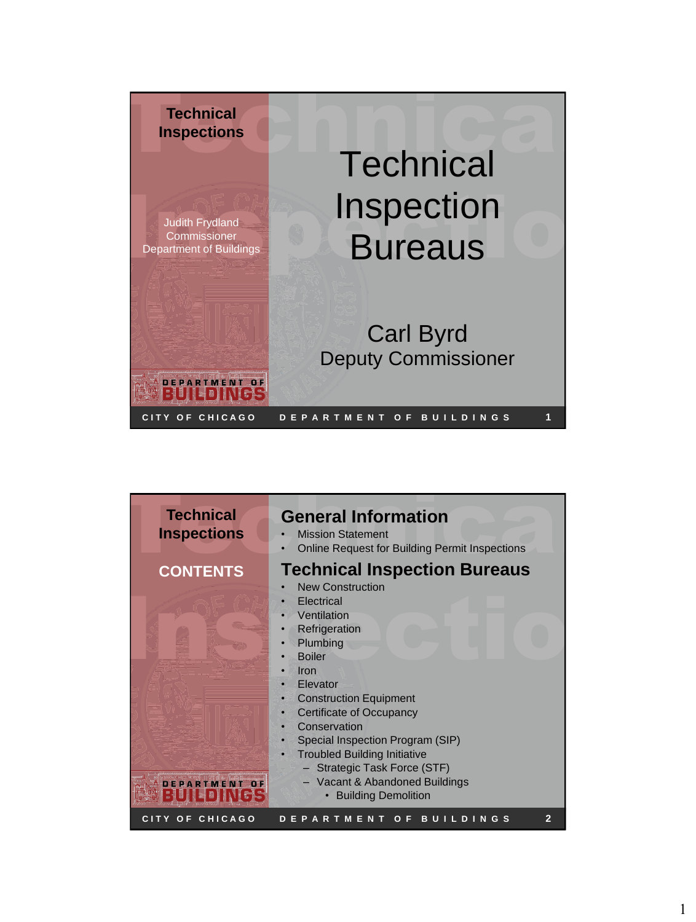

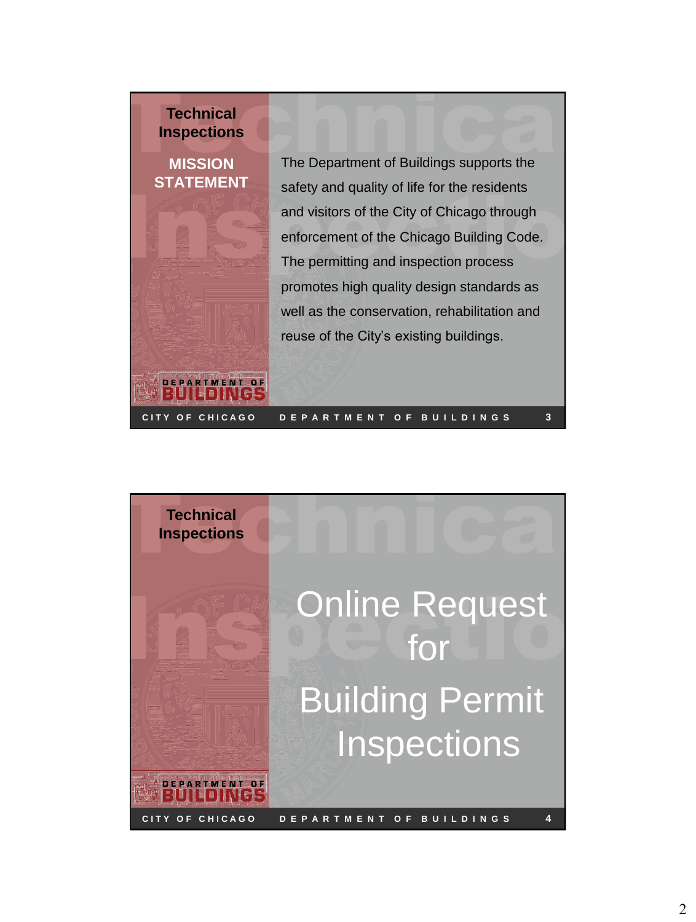## **Technical Inspections**

## **MISSION STATEMENT**

**DEPARTMENT OF** ▐▋▖▌▌▎▎▎▌▞▚▏

**Technical<br>Inspections**<br>MISSION The Department of Buildings supports the safety and quality of life for the residents<br>and visitors of the City of Chicago through<br>enforcement of the Chicago Building Code.<br>The permitting and inspection process The Department of Buildings supports the safety and quality of life for the residents and visitors of the City of Chicago through enforcement of the Chicago Building Code. The permitting and inspection process promotes high quality design standards as well as the conservation, rehabilitation and reuse of the City's existing buildings.

**3**



**C I T Y O F C H I C A G O D E P A R T M E N T O F B U I L D I N G S**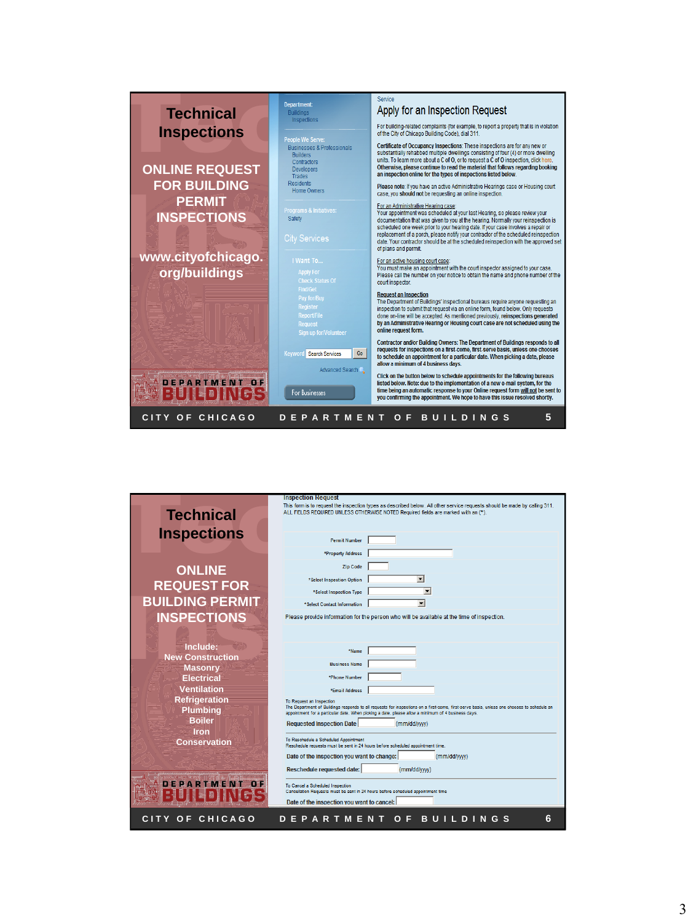

| <b>Technical</b>                 | <b>Inspection Request</b><br>This form is to request the inspection types as described below. All other service requests should be made by calling 311.<br>ALL FIELDS REQUIRED UNLESS OTHERWISE NOTED Required fields are marked with an (*). |
|----------------------------------|-----------------------------------------------------------------------------------------------------------------------------------------------------------------------------------------------------------------------------------------------|
|                                  |                                                                                                                                                                                                                                               |
| <b>Inspections</b>               | <b>Permit Number</b>                                                                                                                                                                                                                          |
|                                  | *Property Address                                                                                                                                                                                                                             |
| <b>ONLINE</b>                    | <b>Zip Code</b>                                                                                                                                                                                                                               |
|                                  | $\vert \mathbf{v} \vert$<br>*Select Inspection Option                                                                                                                                                                                         |
| <b>REQUEST FOR</b>               | $\overline{\phantom{a}}$<br>*Select Inspection Type                                                                                                                                                                                           |
| <b>BUILDING PERMIT</b>           | $\overline{\phantom{a}}$<br>*Select Contact Information                                                                                                                                                                                       |
| <b>INSPECTIONS</b>               | Please provide information for the person who will be available at the time of inspection.                                                                                                                                                    |
|                                  |                                                                                                                                                                                                                                               |
| Include:                         |                                                                                                                                                                                                                                               |
| <b>New Construction</b>          | *Name                                                                                                                                                                                                                                         |
| <b>Masonry</b>                   | <b>Business Name</b>                                                                                                                                                                                                                          |
| <b>Electrical</b>                | *Phone Number                                                                                                                                                                                                                                 |
| <b>Ventilation</b>               | *Email Address                                                                                                                                                                                                                                |
| <b>Refrigeration</b>             | To Request an Inspection<br>The Department of Buildings responds to all requests for inspections on a first-come, first-serve basis, unless one chooses to schedule an                                                                        |
| <b>Plumbing</b><br><b>Boiler</b> | appointment for a particular date. When picking a date, please allow a minimum of 4 business days.                                                                                                                                            |
| Iron                             | <b>Requested Inspection Date</b><br>(mm/dd/yyyy)                                                                                                                                                                                              |
| <b>Conservation</b>              | To Reschedule a Scheduled Appointment<br>Reschedule requests must be sent in 24 hours before scheduled appointment time.                                                                                                                      |
|                                  | Date of the inspection you want to change:<br>(mm/dd/ww)                                                                                                                                                                                      |
|                                  | Reschedule requested date:<br>(mm/dd/yyyy)                                                                                                                                                                                                    |
|                                  |                                                                                                                                                                                                                                               |
| EPARTMENT                        | To Cancel a Scheduled Inspection<br>Cancellation Requests must be sent in 24 hours before scheduled appointment time                                                                                                                          |
|                                  | Date of the inspection you want to cancel:                                                                                                                                                                                                    |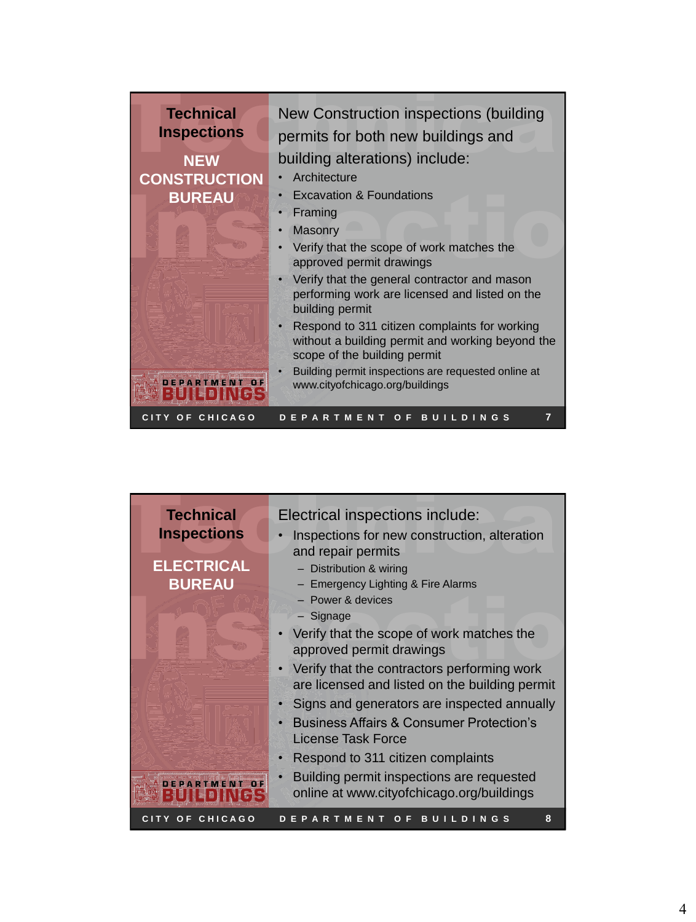

| <b>Technical</b>   | Electrical inspections include:                                                               |
|--------------------|-----------------------------------------------------------------------------------------------|
| <b>Inspections</b> | Inspections for new construction, alteration<br>and repair permits                            |
| <b>ELECTRICAL</b>  | - Distribution & wiring                                                                       |
| <b>BUREAU</b>      | - Emergency Lighting & Fire Alarms                                                            |
|                    | $-$ Power & devices                                                                           |
|                    | $-$ Signage                                                                                   |
|                    | Verify that the scope of work matches the<br>approved permit drawings                         |
|                    | Verify that the contractors performing work<br>are licensed and listed on the building permit |
|                    | Signs and generators are inspected annually                                                   |
|                    | <b>Business Affairs &amp; Consumer Protection's</b><br>License Task Force                     |
|                    | Respond to 311 citizen complaints                                                             |
| DEPARTMENT OF      | Building permit inspections are requested<br>online at www.cityofchicago.org/buildings        |
| CITY OF CHICAGO    | 8<br>OF BUILDINGS<br><b>PARTMENT</b>                                                          |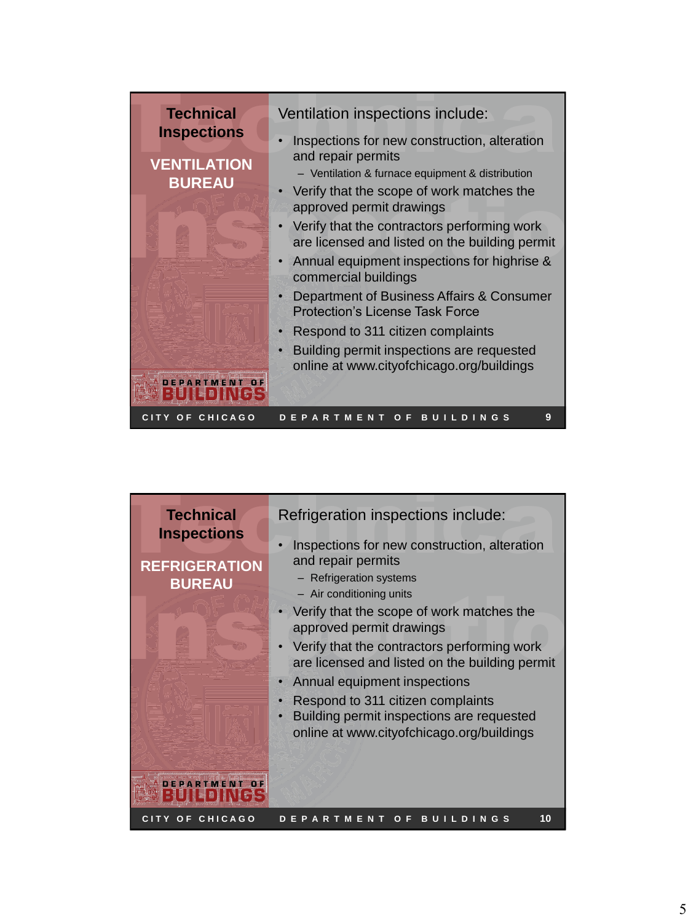| <b>Technical</b><br>Ventilation inspections include:<br><b>Inspections</b><br>Inspections for new construction, alteration<br>and repair permits<br><b>VENTILATION</b><br>- Ventilation & furnace equipment & distribution<br><b>BUREAU</b><br>Verify that the scope of work matches the<br>approved permit drawings<br>Verify that the contractors performing work<br>are licensed and listed on the building permit<br>Annual equipment inspections for highrise &<br>$\bullet$<br>commercial buildings<br>Department of Business Affairs & Consumer<br><b>Protection's License Task Force</b><br>Respond to 311 citizen complaints<br>Building permit inspections are requested<br>online at www.cityofchicago.org/buildings |
|---------------------------------------------------------------------------------------------------------------------------------------------------------------------------------------------------------------------------------------------------------------------------------------------------------------------------------------------------------------------------------------------------------------------------------------------------------------------------------------------------------------------------------------------------------------------------------------------------------------------------------------------------------------------------------------------------------------------------------|
|---------------------------------------------------------------------------------------------------------------------------------------------------------------------------------------------------------------------------------------------------------------------------------------------------------------------------------------------------------------------------------------------------------------------------------------------------------------------------------------------------------------------------------------------------------------------------------------------------------------------------------------------------------------------------------------------------------------------------------|

| - Air conditioning units<br>Verify that the scope of work matches the<br>approved permit drawings<br>Verify that the contractors performing work<br>are licensed and listed on the building permit<br>Annual equipment inspections<br>Respond to 311 citizen complaints<br>Building permit inspections are requested<br>online at www.cityofchicago.org/buildings |  |
|-------------------------------------------------------------------------------------------------------------------------------------------------------------------------------------------------------------------------------------------------------------------------------------------------------------------------------------------------------------------|--|
|-------------------------------------------------------------------------------------------------------------------------------------------------------------------------------------------------------------------------------------------------------------------------------------------------------------------------------------------------------------------|--|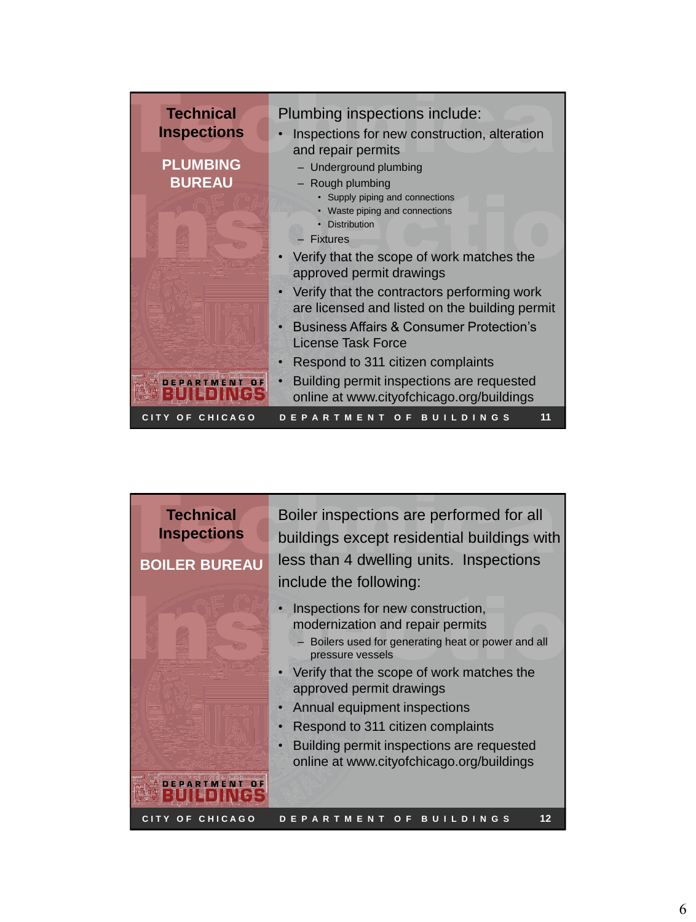| <b>Technical</b>                                       | Plumbing inspections include:                                                                                               |  |
|--------------------------------------------------------|-----------------------------------------------------------------------------------------------------------------------------|--|
| <b>Inspections</b><br><b>PLUMBING</b><br><b>BUREAU</b> | Inspections for new construction, alteration<br>and repair permits<br>- Underground plumbing<br>- Rough plumbing            |  |
|                                                        | • Supply piping and connections<br>• Waste piping and connections<br>• Distribution<br><b>Fixtures</b>                      |  |
|                                                        | Verify that the scope of work matches the<br>approved permit drawings<br>Verify that the contractors performing work        |  |
|                                                        | are licensed and listed on the building permit<br><b>Business Affairs &amp; Consumer Protection's</b><br>License Task Force |  |
|                                                        | Respond to 311 citizen complaints<br>Building permit inspections are requested<br>$\bullet$                                 |  |
| OF CHICAGO<br>CITY.                                    | online at www.cityofchicago.org/buildings<br>11<br><b>BUILDINGS</b><br><b>ARTMENT</b><br>$O$ F                              |  |

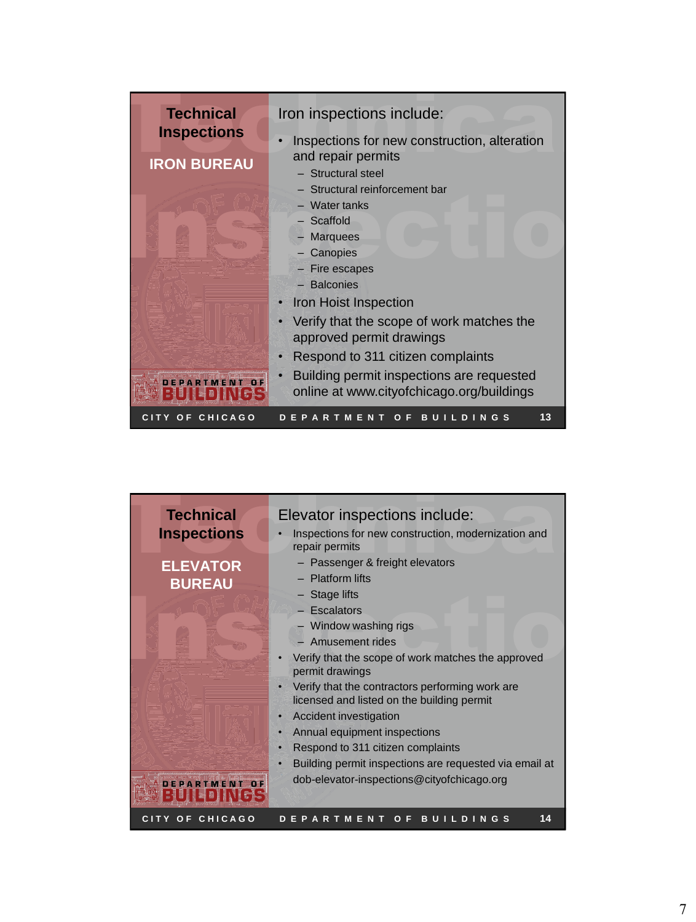| <b>Technical</b><br><b>Inspections</b> | Elevator inspections include:<br>Inspections for new construction, modernization and<br>repair permits                                                                                                                                                                                                                                                                                                                                                                                                                     |
|----------------------------------------|----------------------------------------------------------------------------------------------------------------------------------------------------------------------------------------------------------------------------------------------------------------------------------------------------------------------------------------------------------------------------------------------------------------------------------------------------------------------------------------------------------------------------|
| <b>ELEVATOR</b><br><b>BUREAU</b>       | - Passenger & freight elevators<br>- Platform lifts<br>$-$ Stage lifts<br>- Escalators<br>- Window washing rigs<br>- Amusement rides<br>Verify that the scope of work matches the approved<br>permit drawings<br>Verify that the contractors performing work are<br>licensed and listed on the building permit<br>Accident investigation<br>Annual equipment inspections<br>Respond to 311 citizen complaints<br>c<br>Building permit inspections are requested via email at<br>dob-elevator-inspections@cityofchicago.org |
| OF CHICAGO<br><b>CITY</b>              | 14<br><b>DEPARTMEN</b><br>$O$ F<br>BU<br>т<br><b>DINGS</b>                                                                                                                                                                                                                                                                                                                                                                                                                                                                 |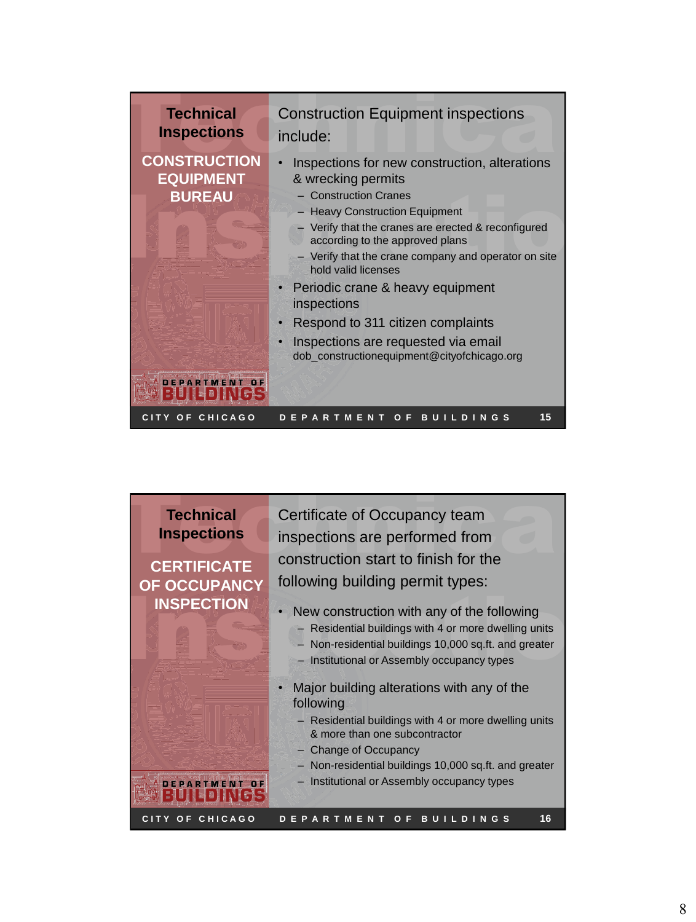

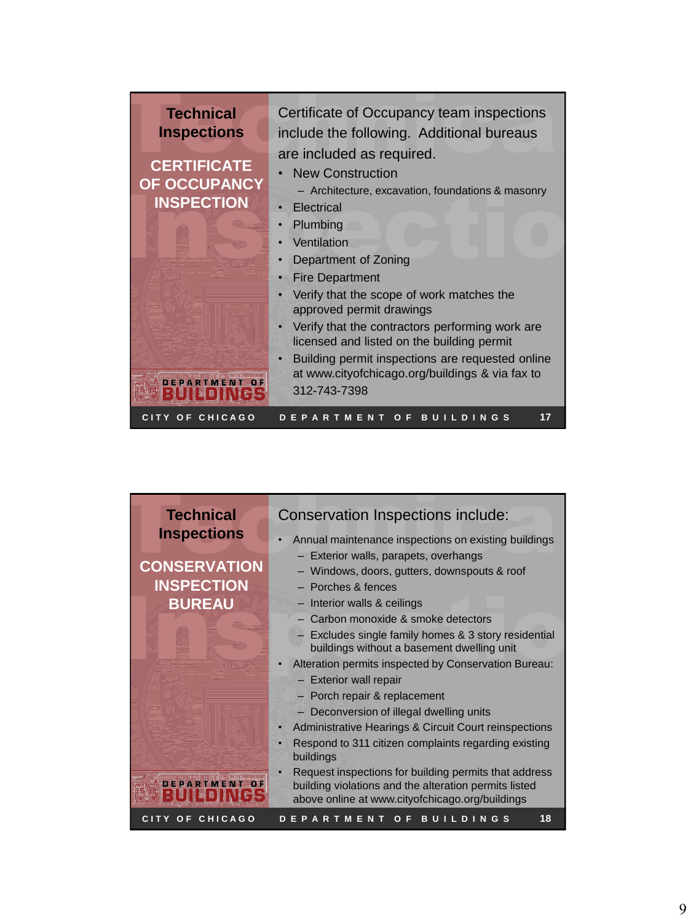| Plumbing<br>Ventilation<br>Department of Zoning<br><b>Fire Department</b><br>Verify that the scope of work matches the<br>approved permit drawings<br>Verify that the contractors performing work are<br>licensed and listed on the building permit<br>Building permit inspections are requested online<br>at www.cityofchicago.org/buildings & via fax to |  |
|------------------------------------------------------------------------------------------------------------------------------------------------------------------------------------------------------------------------------------------------------------------------------------------------------------------------------------------------------------|--|
|------------------------------------------------------------------------------------------------------------------------------------------------------------------------------------------------------------------------------------------------------------------------------------------------------------------------------------------------------------|--|

| <b>Technical</b>    | Conservation Inspections include:                                                                                                                                 |
|---------------------|-------------------------------------------------------------------------------------------------------------------------------------------------------------------|
| <b>Inspections</b>  | Annual maintenance inspections on existing buildings                                                                                                              |
|                     | - Exterior walls, parapets, overhangs                                                                                                                             |
| <b>CONSERVATION</b> | - Windows, doors, gutters, downspouts & roof                                                                                                                      |
| <b>INSPECTION</b>   | - Porches & fences                                                                                                                                                |
| <b>BUREAU</b>       | - Interior walls & ceilings                                                                                                                                       |
|                     | - Carbon monoxide & smoke detectors                                                                                                                               |
|                     | - Excludes single family homes & 3 story residential<br>buildings without a basement dwelling unit                                                                |
|                     | Alteration permits inspected by Conservation Bureau:                                                                                                              |
|                     | - Exterior wall repair                                                                                                                                            |
|                     | - Porch repair & replacement                                                                                                                                      |
|                     | - Deconversion of illegal dwelling units                                                                                                                          |
|                     | Administrative Hearings & Circuit Court reinspections                                                                                                             |
|                     | Respond to 311 citizen complaints regarding existing<br>ċ<br>buildings                                                                                            |
|                     | Request inspections for building permits that address<br>building violations and the alteration permits listed<br>above online at www.cityofchicago.org/buildings |
| CITY OF CHICAGO     | DEPARTMENT OF BUILDINGS<br>18                                                                                                                                     |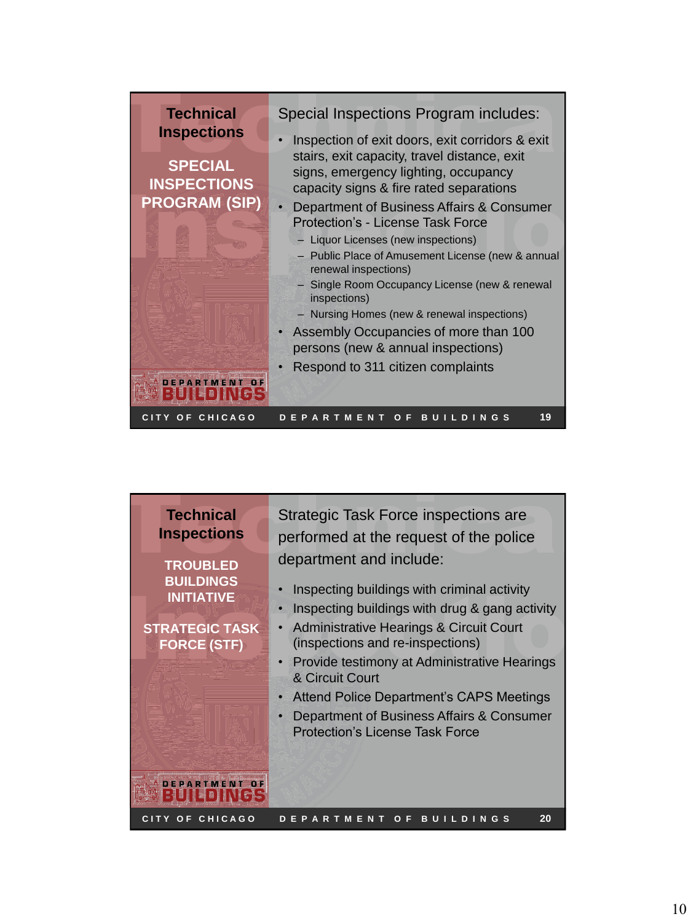| Special Inspections Program includes:<br><b>Technical</b><br><b>Inspections</b><br>Inspection of exit doors, exit corridors & exit<br>stairs, exit capacity, travel distance, exit<br><b>SPECIAL</b><br>signs, emergency lighting, occupancy<br><b>INSPECTIONS</b><br>capacity signs & fire rated separations<br><b>PROGRAM (SIP)</b><br>• Department of Business Affairs & Consumer<br>Protection's - License Task Force<br>- Liquor Licenses (new inspections)<br>- Public Place of Amusement License (new & annual<br>renewal inspections)<br>- Single Room Occupancy License (new & renewal<br>inspections)<br>- Nursing Homes (new & renewal inspections)<br>Assembly Occupancies of more than 100<br>$\bullet$<br>persons (new & annual inspections)<br>Respond to 311 citizen complaints |
|-------------------------------------------------------------------------------------------------------------------------------------------------------------------------------------------------------------------------------------------------------------------------------------------------------------------------------------------------------------------------------------------------------------------------------------------------------------------------------------------------------------------------------------------------------------------------------------------------------------------------------------------------------------------------------------------------------------------------------------------------------------------------------------------------|
|-------------------------------------------------------------------------------------------------------------------------------------------------------------------------------------------------------------------------------------------------------------------------------------------------------------------------------------------------------------------------------------------------------------------------------------------------------------------------------------------------------------------------------------------------------------------------------------------------------------------------------------------------------------------------------------------------------------------------------------------------------------------------------------------------|